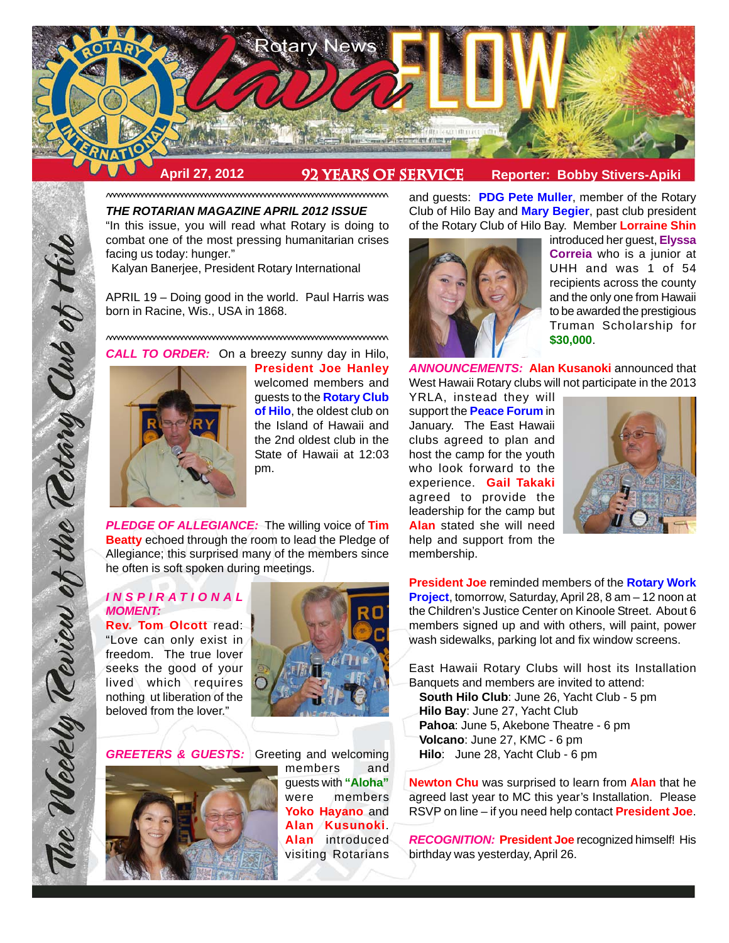

**April 27, 2012 92 Years of service Reporter: Bobby Stivers-Apiki**

^^^^^^^^^^^^^^^^^^^^^^^^^^^^^^^^^^^^^^^^^^^^^^^^^^^^^^^^^^^^^^^^^^^^^^^ *THE ROTARIAN MAGAZINE APRIL 2012 ISSUE* "In this issue, you will read what Rotary is doing to combat one of the most pressing humanitarian crises

facing us today: hunger." Kalyan Banerjee, President Rotary International

APRIL 19 – Doing good in the world. Paul Harris was born in Racine, Wis., USA in 1868.

^^^^^^^^^^^^^^^^^^^^^^^^^^^^^^^^^^^^^^^^^^^^^^^^^^^^^^^^^^^^^^^^^^^^^^^ *CALL TO ORDER:* On a breezy sunny day in Hilo,



**President Joe Hanley** welcomed members and guests to the **Rotary Club of Hilo**, the oldest club on the Island of Hawaii and the 2nd oldest club in the State of Hawaii at 12:03 pm.

*PLEDGE OF ALLEGIANCE:* The willing voice of **Tim Beatty** echoed through the room to lead the Pledge of Allegiance; this surprised many of the members since he often is soft spoken during meetings.

# *INSPIRA TIONAL MOMENT:*

The Weekly Review of the Rotary Club of Hill

**Rev. Tom Olcott** read: "Love can only exist in freedom. The true lover seeks the good of your lived which requires nothing ut liberation of the beloved from the lover."



**GREETERS & GUESTS:** Greeting and welcoming



members and guests with **"Aloha"** were members **Yoko Hayano** and **Alan Kusunoki**. **Alan** introduced visiting Rotarians

and guests: **PDG Pete Muller**, member of the Rotary Club of Hilo Bay and **Mary Begier**, past club president of the Rotary Club of Hilo Bay. Member **Lorraine Shin**



introduced her guest, **Elyssa Correia** who is a junior at UHH and was 1 of 54 recipients across the county and the only one from Hawaii to be awarded the prestigious Truman Scholarship for **\$30,000**.

*ANNOUNCEMENTS:* **Alan Kusanoki** announced that West Hawaii Rotary clubs will not participate in the 2013

YRLA, instead they will support the **Peace Forum** in January. The East Hawaii clubs agreed to plan and host the camp for the youth who look forward to the experience. **Gail Takaki** agreed to provide the leadership for the camp but **Alan** stated she will need help and support from the membership.



**President Joe** reminded members of the **Rotary Work Project**, tomorrow, Saturday, April 28, 8 am – 12 noon at the Children's Justice Center on Kinoole Street. About 6 members signed up and with others, will paint, power wash sidewalks, parking lot and fix window screens.

East Hawaii Rotary Clubs will host its Installation Banquets and members are invited to attend:

**South Hilo Club**: June 26, Yacht Club - 5 pm **Hilo Bay**: June 27, Yacht Club **Pahoa**: June 5, Akebone Theatre - 6 pm **Volcano**: June 27, KMC - 6 pm

**Hilo**: June 28, Yacht Club - 6 pm

**Newton Chu** was surprised to learn from **Alan** that he agreed last year to MC this year's Installation. Please RSVP on line – if you need help contact **President Joe**.

*RECOGNITION:* **President Joe** recognized himself! His birthday was yesterday, April 26.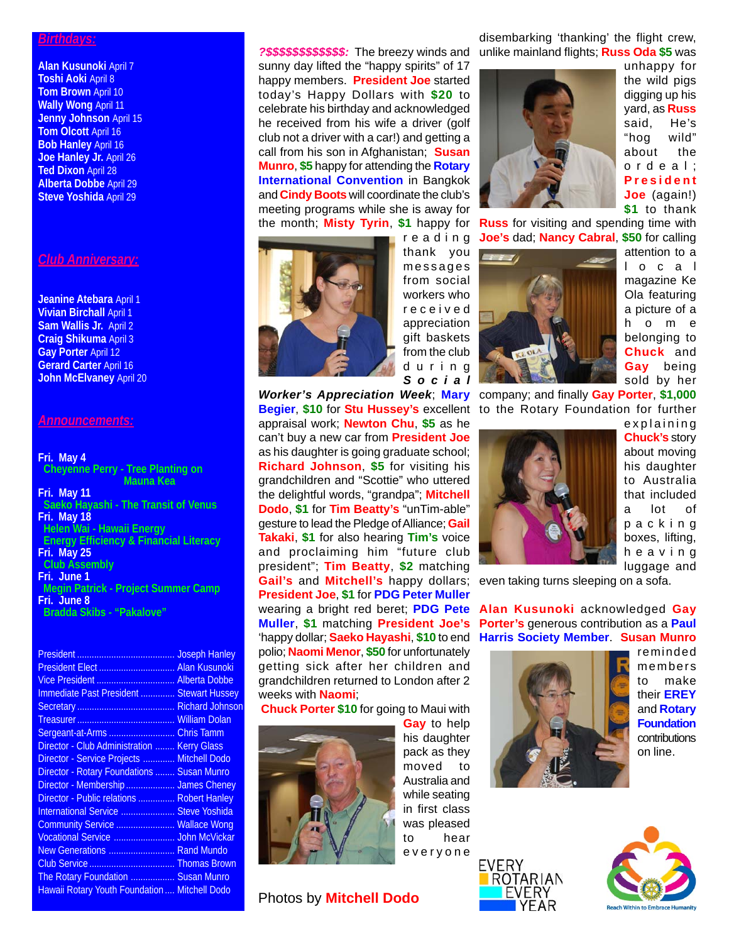#### *Birthdays:*

**Alan Kusunoki** April 7 **Toshi Aoki** April 8 **Tom Brown** April 10 **Wally Wong** April 11 **Jenny Johnson** April 15 **Tom Olcott** April 16 **Bob Hanley** April 16 Joe Hanley Jr. April 26 **Ted Dixon** April 28 **Alberta Dobbe** April 29 **Steve Yoshida** April 29

# *Club Anniversary:*

#### **Jeanine Atebara** April 1 **Vivian Birchall** April 1 **Sam Wallis Jr.** April 2 **Craig Shikuma** April 3 **Gay Porter** April 12 **Gerard Carter** April 16 **John McElvaney** April 20

#### *Announcements:*

#### **Fri. May 4 Cheyenne Perry - Tree Planting on Mauna Kea Fri. May 11 Saeko Hayashi - The Transit of Venus Fri. May 18 Helen Wai - Hawaii Energy Energy Efficiency & Financial Literacy Fri. May 25 Club Assembly Fri. June 1 Megin Patrick - Project Summer Camp Fri. June 8 Bradda Skibs - "Pakalove"**

| <b>Joseph Hanley</b>                                 |
|------------------------------------------------------|
| President Elect<br><b>Alan Kusunoki</b>              |
| Vice President  Alberta Dobbe                        |
| Immediate Past President  Stewart Hussey             |
|                                                      |
|                                                      |
| Sergeant-at-Arms<br><b>Chris Tamm</b>                |
| Director - Club Administration<br><b>Kerry Glass</b> |
| <b>Mitchell Dodo</b>                                 |
| <b>Susan Munro</b>                                   |
| Director - Membership  James Cheney                  |
| Director - Public relations  Robert Hanley           |
| <b>Steve Yoshida</b>                                 |
| Community Service  Wallace Wong                      |
| <b>John McVickar</b>                                 |
| <b>Rand Mundo</b>                                    |
| Club Service  Thomas Brown                           |
| The Rotary Foundation  Susan Munro                   |
| Hawaii Rotary Youth Foundation  Mitchell Dodo        |
|                                                      |

sunny day lifted the "happy spirits" of 17 happy members. **President Joe** started today's Happy Dollars with **\$20** to celebrate his birthday and acknowledged he received from his wife a driver (golf club not a driver with a car!) and getting a call from his son in Afghanistan; **Susan Munro**, **\$5** happy for attending the **Rotary International Convention** in Bangkok and **Cindy Boots** will coordinate the club's meeting programs while she is away for the month; **Misty Tyrin**, **\$1** happy for



reading thank you messages from social workers who received appreciation gift baskets from the club during *Social*

*Worker's Appreciation Week*; **Mary** company; and finally **Gay Porter**, **\$1,000** appraisal work; **Newton Chu**, **\$5** as he can't buy a new car from **President Joe** as his daughter is going graduate school; **Richard Johnson**, **\$5** for visiting his grandchildren and "Scottie" who uttered the delightful words, "grandpa"; **Mitchell Dodo**, **\$1** for **Tim Beatty's** "unTim-able" gesture to lead the Pledge of Alliance; **Gail Takaki**, **\$1** for also hearing **Tim's** voice and proclaiming him "future club president"; **Tim Beatty**, **\$2** matching **Gail's** and **Mitchell's** happy dollars; **President Joe**, **\$1** for **PDG Peter Muller** wearing a bright red beret; **PDG Pete Muller**, **\$1** matching **President Joe's** polio; **Naomi Menor**, **\$50** for unfortunately getting sick after her children and grandchildren returned to London after 2 weeks with **Naomi**;

**Chuck Porter \$10** for going to Maui with



**Gay** to help his daughter pack as they moved to Australia and while seating in first class was pleased to hear everyone

**Photos by Mitchell Dodo** 

*?\$\$\$\$\$\$\$\$\$\$\$\$:* The breezy winds and unlike mainland flights; **Russ Oda \$5** was disembarking 'thanking' the flight crew,



unhappy for the wild pigs digging up his yard, as **Russ** said, He's "hog wild" about the ordeal; **President Joe** (again!) **\$1** to thank

**Russ** for visiting and spending time with **Joe's** dad; **Nancy Cabral**, **\$50** for calling



attention to a local magazine Ke Ola featuring a picture of a home belonging to **Chuck** and **Gay** being sold by her

**Begier**, **\$10** for **Stu Hussey's** excellent to the Rotary Foundation for further



explaining **Chuck's** story about moving his daughter to Australia that included a lot of packing boxes, lifting, heaving luggage and

even taking turns sleeping on a sofa.

'happy dollar; **Saeko Hayashi**, **\$10** to end **Harris Society Member**. **Susan Munro Alan Kusunoki** acknowledged **Gay Porter's** generous contribution as a **Paul**



reminded members to make their **EREY** and **Rotary Foundation** contributions on line.